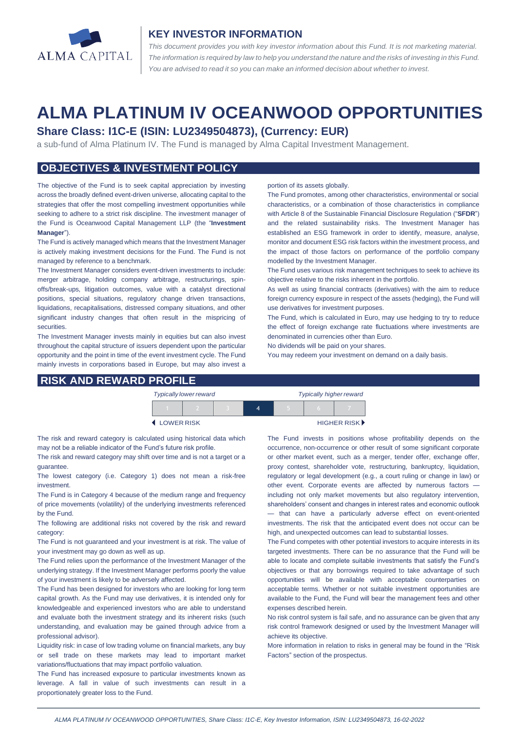

#### **KEY INVESTOR INFORMATION**

*This document provides you with key investor information about this Fund. It is not marketing material.*  The information is required by law to help you understand the nature and the risks of investing in this Fund. *You are advised to read it so you can make an informed decision about whether to invest.*

# **ALMA PLATINUM IV OCEANWOOD OPPORTUNITIES**

# **Share Class: I1C-E (ISIN: LU2349504873), (Currency: EUR)**

a sub-fund of Alma Platinum IV. The Fund is managed by Alma Capital Investment Management.

# **OBJECTIVES & INVESTMENT POLICY**

The objective of the Fund is to seek capital appreciation by investing across the broadly defined event-driven universe, allocating capital to the strategies that offer the most compelling investment opportunities while seeking to adhere to a strict risk discipline. The investment manager of the Fund is Oceanwood Capital Management LLP (the "**Investment Manager**").

The Fund is actively managed which means that the Investment Manager is actively making investment decisions for the Fund. The Fund is not managed by reference to a benchmark.

The Investment Manager considers event-driven investments to include: merger arbitrage, holding company arbitrage, restructurings, spinoffs/break-ups, litigation outcomes, value with a catalyst directional positions, special situations, regulatory change driven transactions, liquidations, recapitalisations, distressed company situations, and other significant industry changes that often result in the mispricing of securities.

The Investment Manager invests mainly in equities but can also invest throughout the capital structure of issuers dependent upon the particular opportunity and the point in time of the event investment cycle. The Fund mainly invests in corporations based in Europe, but may also invest a

#### **RISK AND REWARD PROFILE**

#### portion of its assets globally.

The Fund promotes, among other characteristics, environmental or social characteristics, or a combination of those characteristics in compliance with Article 8 of the Sustainable Financial Disclosure Regulation ("**SFDR**") and the related sustainability risks. The Investment Manager has established an ESG framework in order to identify, measure, analyse, monitor and document ESG risk factors within the investment process, and the impact of those factors on performance of the portfolio company modelled by the Investment Manager.

The Fund uses various risk management techniques to seek to achieve its objective relative to the risks inherent in the portfolio.

As well as using financial contracts (derivatives) with the aim to reduce foreign currency exposure in respect of the assets (hedging), the Fund will use derivatives for investment purposes.

The Fund, which is calculated in Euro, may use hedging to try to reduce the effect of foreign exchange rate fluctuations where investments are denominated in currencies other than Euro.

No dividends will be paid on your shares.

You may redeem your investment on demand on a daily basis.

|                     | <b>Typically lower reward</b> |  | <b>Typically higher reward</b> |  |  |                             |
|---------------------|-------------------------------|--|--------------------------------|--|--|-----------------------------|
|                     |                               |  |                                |  |  |                             |
| <b>4 LOWER RISK</b> |                               |  |                                |  |  | HIGHER RISK <sup>&gt;</sup> |

The risk and reward category is calculated using historical data which may not be a reliable indicator of the Fund's future risk profile.

The risk and reward category may shift over time and is not a target or a guarantee.

The lowest category (i.e. Category 1) does not mean a risk-free investment.

The Fund is in Category 4 because of the medium range and frequency of price movements (volatility) of the underlying investments referenced by the Fund.

The following are additional risks not covered by the risk and reward category:

The Fund is not guaranteed and your investment is at risk. The value of your investment may go down as well as up.

The Fund relies upon the performance of the Investment Manager of the underlying strategy. If the Investment Manager performs poorly the value of your investment is likely to be adversely affected.

The Fund has been designed for investors who are looking for long term capital growth. As the Fund may use derivatives, it is intended only for knowledgeable and experienced investors who are able to understand and evaluate both the investment strategy and its inherent risks (such understanding, and evaluation may be gained through advice from a professional advisor).

Liquidity risk: in case of low trading volume on financial markets, any buy or sell trade on these markets may lead to important market variations/fluctuations that may impact portfolio valuation.

The Fund has increased exposure to particular investments known as leverage. A fall in value of such investments can result in a proportionately greater loss to the Fund.

The Fund invests in positions whose profitability depends on the occurrence, non-occurrence or other result of some significant corporate or other market event, such as a merger, tender offer, exchange offer, proxy contest, shareholder vote, restructuring, bankruptcy, liquidation, regulatory or legal development (e.g., a court ruling or change in law) or other event. Corporate events are affected by numerous factors including not only market movements but also regulatory intervention, shareholders' consent and changes in interest rates and economic outlook — that can have a particularly adverse effect on event-oriented investments. The risk that the anticipated event does not occur can be high, and unexpected outcomes can lead to substantial losses.

The Fund competes with other potential investors to acquire interests in its targeted investments. There can be no assurance that the Fund will be able to locate and complete suitable investments that satisfy the Fund's objectives or that any borrowings required to take advantage of such opportunities will be available with acceptable counterparties on acceptable terms. Whether or not suitable investment opportunities are available to the Fund, the Fund will bear the management fees and other expenses described herein.

No risk control system is fail safe, and no assurance can be given that any risk control framework designed or used by the Investment Manager will achieve its objective.

More information in relation to risks in general may be found in the "Risk Factors" section of the prospectus.